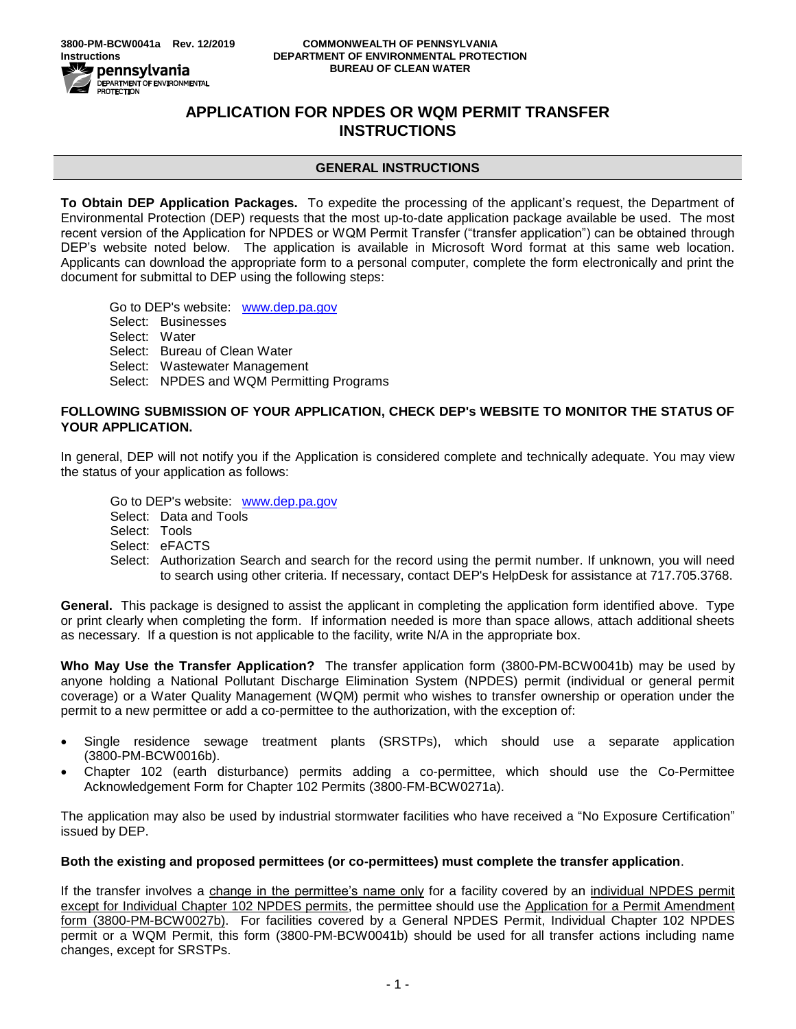

# **APPLICATION FOR NPDES OR WQM PERMIT TRANSFER INSTRUCTIONS**

## **GENERAL INSTRUCTIONS**

**To Obtain DEP Application Packages.** To expedite the processing of the applicant's request, the Department of Environmental Protection (DEP) requests that the most up-to-date application package available be used. The most recent version of the Application for NPDES or WQM Permit Transfer ("transfer application") can be obtained through DEP's website noted below. The application is available in Microsoft Word format at this same web location. Applicants can download the appropriate form to a personal computer, complete the form electronically and print the document for submittal to DEP using the following steps:

Go to DEP's website: [www.dep.pa.gov](../../../AppData/Local/Microsoft/Windows/INetCache/Content.Outlook/AppData/Local/Microsoft/AppData/Local/Microsoft/Windows/INetCache/Content.Outlook/AppData/Local/Microsoft/Windows/INetCache/AppData/Local/Microsoft/Windows/INetCache/Content.Outlook/AppData/Local/Microsoft/AppData/Local/Microsoft/Windows/AppData/Local/Microsoft/Windows/INetCache/Content.Outlook/AppData/Local/Microsoft/Windows/Temporary%20Internet%20Files/Content.Outlook/AppData/Local/Microsoft/AppData/Local/Microsoft/AppData/Local/Microsoft/AppData/Local/Microsoft/AppData/Local/Microsoft/AppData/Local/Microsoft/AppData/Local/Microsoft/AppData/Local/Microsoft/Windows/Temporary%20Internet%20Files/Content.Outlook/ZW5KPMW0/www.dep.pa.gov) Select: Businesses Select: Water Select: Bureau of Clean Water Select: Wastewater Management Select: NPDES and WQM Permitting Programs

### **FOLLOWING SUBMISSION OF YOUR APPLICATION, CHECK DEP's WEBSITE TO MONITOR THE STATUS OF YOUR APPLICATION.**

In general, DEP will not notify you if the Application is considered complete and technically adequate. You may view the status of your application as follows:

Go to DEP's website: [www.dep.pa.gov](http://www.dep.pa.gov/) Select: Data and Tools Select: Tools Select: eFACTS Select: Authorization Search and search for the record using the permit number. If unknown, you will need to search using other criteria. If necessary, contact DEP's HelpDesk for assistance at 717.705.3768.

**General.** This package is designed to assist the applicant in completing the application form identified above. Type or print clearly when completing the form. If information needed is more than space allows, attach additional sheets as necessary. If a question is not applicable to the facility, write N/A in the appropriate box.

**Who May Use the Transfer Application?** The transfer application form (3800-PM-BCW0041b) may be used by anyone holding a National Pollutant Discharge Elimination System (NPDES) permit (individual or general permit coverage) or a Water Quality Management (WQM) permit who wishes to transfer ownership or operation under the permit to a new permittee or add a co-permittee to the authorization, with the exception of:

- Single residence sewage treatment plants (SRSTPs), which should use a separate application (3800-PM-BCW0016b).
- Chapter 102 (earth disturbance) permits adding a co-permittee, which should use the Co-Permittee Acknowledgement Form for Chapter 102 Permits (3800-FM-BCW0271a).

The application may also be used by industrial stormwater facilities who have received a "No Exposure Certification" issued by DEP.

## **Both the existing and proposed permittees (or co-permittees) must complete the transfer application**.

If the transfer involves a change in the permittee's name only for a facility covered by an individual NPDES permit except for Individual Chapter 102 NPDES permits, the permittee should use the Application for a Permit Amendment form (3800-PM-BCW0027b). For facilities covered by a General NPDES Permit, Individual Chapter 102 NPDES permit or a WQM Permit, this form (3800-PM-BCW0041b) should be used for all transfer actions including name changes, except for SRSTPs.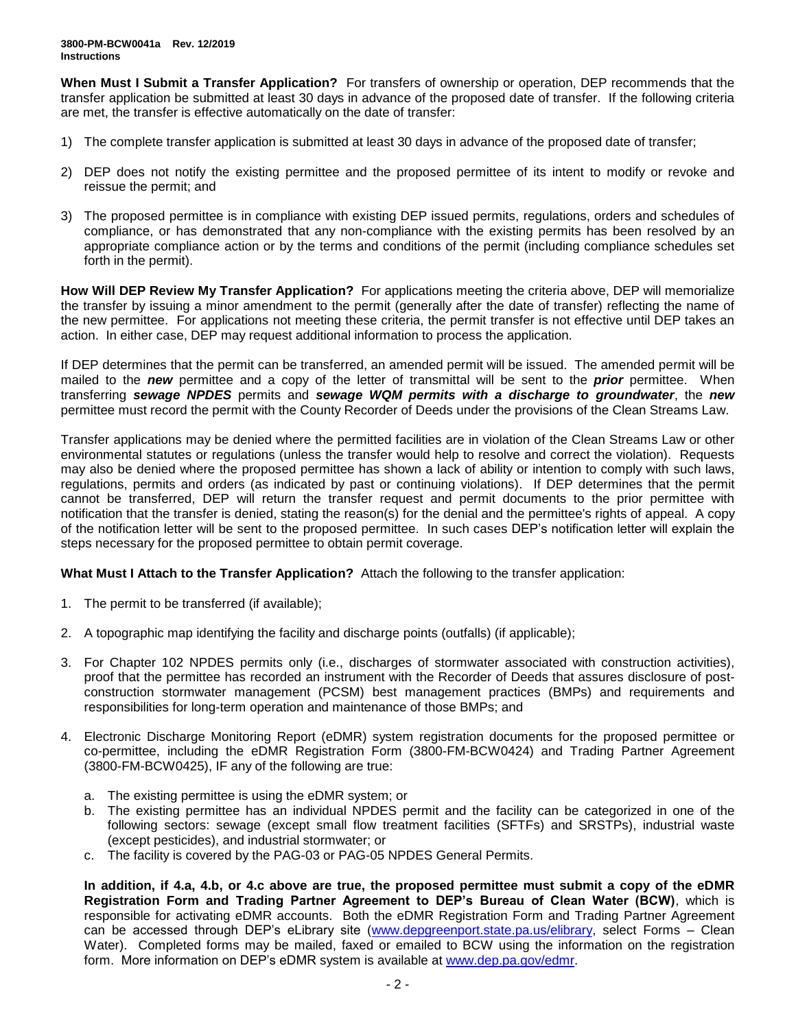**When Must I Submit a Transfer Application?** For transfers of ownership or operation, DEP recommends that the transfer application be submitted at least 30 days in advance of the proposed date of transfer. If the following criteria are met, the transfer is effective automatically on the date of transfer:

- 1) The complete transfer application is submitted at least 30 days in advance of the proposed date of transfer;
- 2) DEP does not notify the existing permittee and the proposed permittee of its intent to modify or revoke and reissue the permit; and
- 3) The proposed permittee is in compliance with existing DEP issued permits, regulations, orders and schedules of compliance, or has demonstrated that any non-compliance with the existing permits has been resolved by an appropriate compliance action or by the terms and conditions of the permit (including compliance schedules set forth in the permit).

**How Will DEP Review My Transfer Application?** For applications meeting the criteria above, DEP will memorialize the transfer by issuing a minor amendment to the permit (generally after the date of transfer) reflecting the name of the new permittee. For applications not meeting these criteria, the permit transfer is not effective until DEP takes an action. In either case, DEP may request additional information to process the application.

If DEP determines that the permit can be transferred, an amended permit will be issued. The amended permit will be mailed to the *new* permittee and a copy of the letter of transmittal will be sent to the *prior* permittee. When transferring *sewage NPDES* permits and *sewage WQM permits with a discharge to groundwater*, the *new* permittee must record the permit with the County Recorder of Deeds under the provisions of the Clean Streams Law.

Transfer applications may be denied where the permitted facilities are in violation of the Clean Streams Law or other environmental statutes or regulations (unless the transfer would help to resolve and correct the violation). Requests may also be denied where the proposed permittee has shown a lack of ability or intention to comply with such laws, regulations, permits and orders (as indicated by past or continuing violations). If DEP determines that the permit cannot be transferred, DEP will return the transfer request and permit documents to the prior permittee with notification that the transfer is denied, stating the reason(s) for the denial and the permittee's rights of appeal. A copy of the notification letter will be sent to the proposed permittee. In such cases DEP's notification letter will explain the steps necessary for the proposed permittee to obtain permit coverage.

**What Must I Attach to the Transfer Application?** Attach the following to the transfer application:

- 1. The permit to be transferred (if available);
- 2. A topographic map identifying the facility and discharge points (outfalls) (if applicable);
- 3. For Chapter 102 NPDES permits only (i.e., discharges of stormwater associated with construction activities), proof that the permittee has recorded an instrument with the Recorder of Deeds that assures disclosure of postconstruction stormwater management (PCSM) best management practices (BMPs) and requirements and responsibilities for long-term operation and maintenance of those BMPs; and
- 4. Electronic Discharge Monitoring Report (eDMR) system registration documents for the proposed permittee or co-permittee, including the eDMR Registration Form (3800-FM-BCW0424) and Trading Partner Agreement (3800-FM-BCW0425), IF any of the following are true:
	- a. The existing permittee is using the eDMR system; or
	- b. The existing permittee has an individual NPDES permit and the facility can be categorized in one of the following sectors: sewage (except small flow treatment facilities (SFTFs) and SRSTPs), industrial waste (except pesticides), and industrial stormwater; or
	- c. The facility is covered by the PAG-03 or PAG-05 NPDES General Permits.

**In addition, if 4.a, 4.b, or 4.c above are true, the proposed permittee must submit a copy of the eDMR Registration Form and Trading Partner Agreement to DEP's Bureau of Clean Water (BCW)**, which is responsible for activating eDMR accounts. Both the eDMR Registration Form and Trading Partner Agreement can be accessed through DEP's eLibrary site [\(www.depgreenport.state.pa.us/elibrary,](http://www.depgreenport.state.pa.us/elibrary) select Forms – Clean Water). Completed forms may be mailed, faxed or emailed to BCW using the information on the registration form. More information on DEP's eDMR system is available at [www.dep.pa.gov/edmr.](http://www.dep.pa.gov/edmr)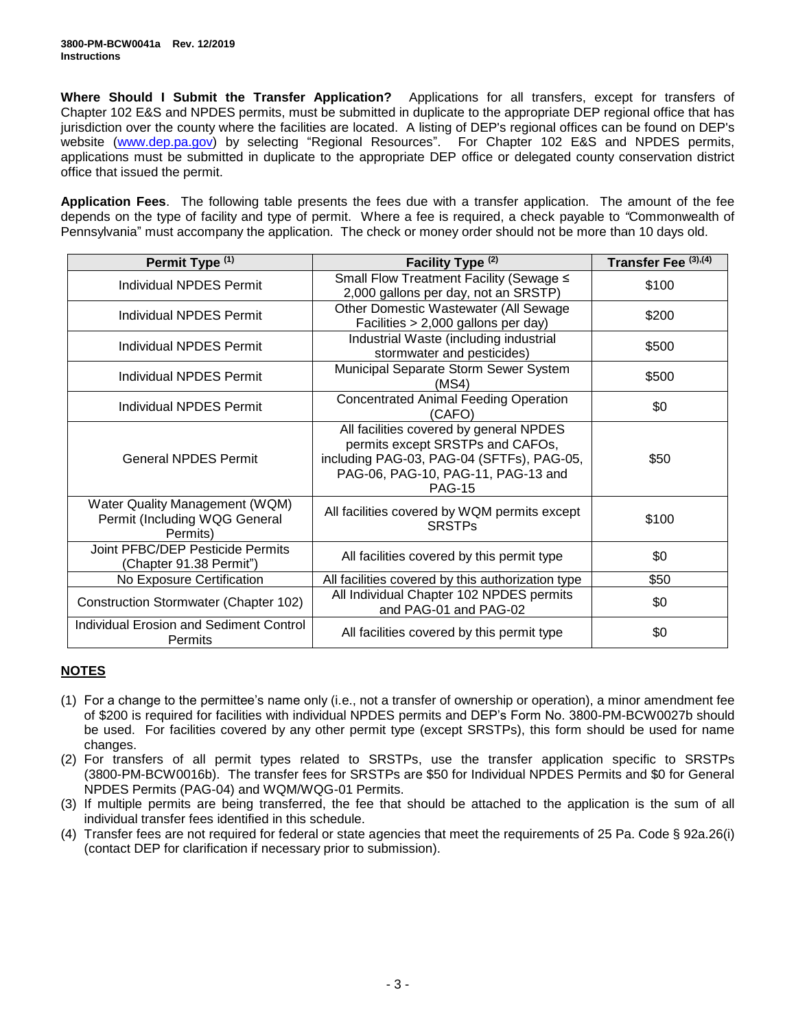**Where Should I Submit the Transfer Application?** Applications for all transfers, except for transfers of Chapter 102 E&S and NPDES permits, must be submitted in duplicate to the appropriate DEP regional office that has jurisdiction over the county where the facilities are located. A listing of DEP's regional offices can be found on DEP's website [\(www.dep.pa.gov\)](http://www.dep.state.pa.us/) by selecting "Regional Resources". For Chapter 102 E&S and NPDES permits, applications must be submitted in duplicate to the appropriate DEP office or delegated county conservation district office that issued the permit.

**Application Fees**. The following table presents the fees due with a transfer application. The amount of the fee depends on the type of facility and type of permit. Where a fee is required, a check payable to *"*Commonwealth of Pennsylvania" must accompany the application. The check or money order should not be more than 10 days old.

| Permit Type (1)                                                             | Facility Type (2)                                                                                                                                                               | Transfer Fee (3),(4) |
|-----------------------------------------------------------------------------|---------------------------------------------------------------------------------------------------------------------------------------------------------------------------------|----------------------|
| Individual NPDES Permit                                                     | Small Flow Treatment Facility (Sewage ≤<br>2,000 gallons per day, not an SRSTP)                                                                                                 | \$100                |
| Individual NPDES Permit                                                     | Other Domestic Wastewater (All Sewage<br>Facilities > 2,000 gallons per day)                                                                                                    | \$200                |
| Individual NPDES Permit                                                     | Industrial Waste (including industrial<br>stormwater and pesticides)                                                                                                            | \$500                |
| Individual NPDES Permit                                                     | Municipal Separate Storm Sewer System<br>(MS4)                                                                                                                                  | \$500                |
| Individual NPDES Permit                                                     | <b>Concentrated Animal Feeding Operation</b><br>(CAFO)                                                                                                                          | \$0                  |
| <b>General NPDES Permit</b>                                                 | All facilities covered by general NPDES<br>permits except SRSTPs and CAFOs,<br>including PAG-03, PAG-04 (SFTFs), PAG-05,<br>PAG-06, PAG-10, PAG-11, PAG-13 and<br><b>PAG-15</b> | \$50                 |
| Water Quality Management (WQM)<br>Permit (Including WQG General<br>Permits) | All facilities covered by WQM permits except<br><b>SRSTPs</b>                                                                                                                   | \$100                |
| Joint PFBC/DEP Pesticide Permits<br>(Chapter 91.38 Permit")                 | All facilities covered by this permit type                                                                                                                                      | \$0                  |
| No Exposure Certification                                                   | All facilities covered by this authorization type                                                                                                                               | \$50                 |
| Construction Stormwater (Chapter 102)                                       | All Individual Chapter 102 NPDES permits<br>and PAG-01 and PAG-02                                                                                                               | \$0                  |
| <b>Individual Erosion and Sediment Control</b><br>Permits                   | All facilities covered by this permit type                                                                                                                                      | \$0                  |

## **NOTES**

- (1) For a change to the permittee's name only (i.e., not a transfer of ownership or operation), a minor amendment fee of \$200 is required for facilities with individual NPDES permits and DEP's Form No. 3800-PM-BCW0027b should be used. For facilities covered by any other permit type (except SRSTPs), this form should be used for name changes.
- (2) For transfers of all permit types related to SRSTPs, use the transfer application specific to SRSTPs (3800-PM-BCW0016b). The transfer fees for SRSTPs are \$50 for Individual NPDES Permits and \$0 for General NPDES Permits (PAG-04) and WQM/WQG-01 Permits.
- (3) If multiple permits are being transferred, the fee that should be attached to the application is the sum of all individual transfer fees identified in this schedule.
- (4) Transfer fees are not required for federal or state agencies that meet the requirements of 25 Pa. Code § 92a.26(i) (contact DEP for clarification if necessary prior to submission).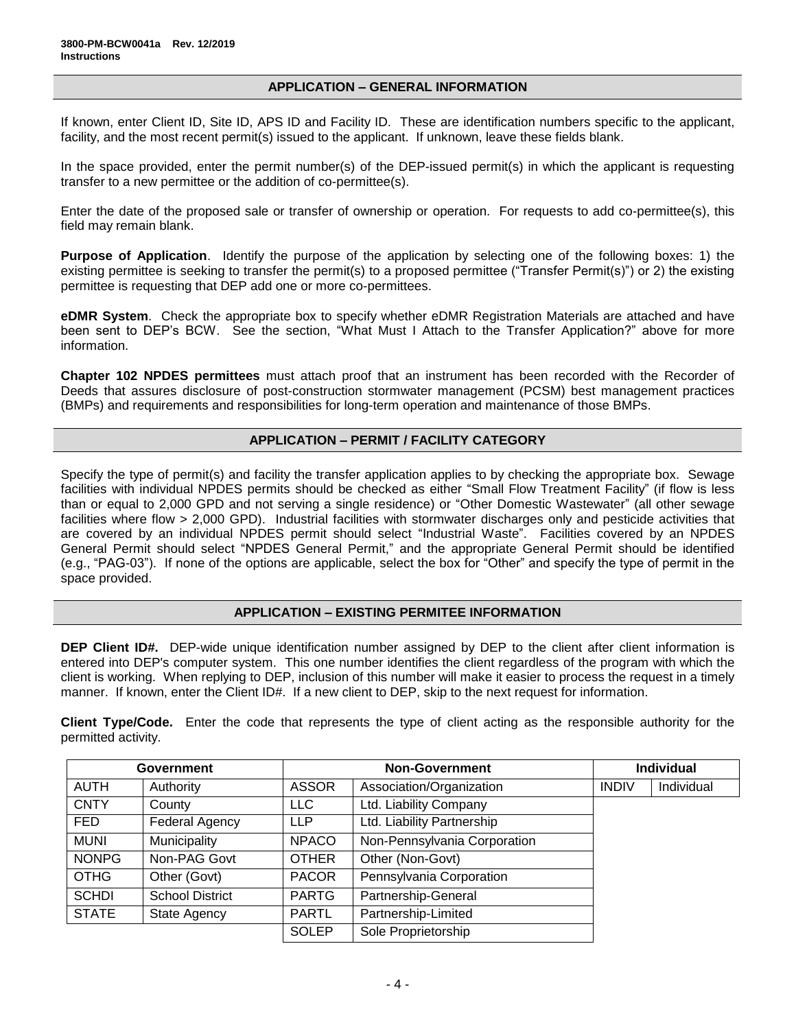#### **APPLICATION – GENERAL INFORMATION**

If known, enter Client ID, Site ID, APS ID and Facility ID. These are identification numbers specific to the applicant, facility, and the most recent permit(s) issued to the applicant. If unknown, leave these fields blank.

In the space provided, enter the permit number(s) of the DEP-issued permit(s) in which the applicant is requesting transfer to a new permittee or the addition of co-permittee(s).

Enter the date of the proposed sale or transfer of ownership or operation. For requests to add co-permittee(s), this field may remain blank.

**Purpose of Application**. Identify the purpose of the application by selecting one of the following boxes: 1) the existing permittee is seeking to transfer the permit(s) to a proposed permittee ("Transfer Permit(s)") or 2) the existing permittee is requesting that DEP add one or more co-permittees.

**eDMR System**. Check the appropriate box to specify whether eDMR Registration Materials are attached and have been sent to DEP's BCW. See the section, "What Must I Attach to the Transfer Application?" above for more information.

**Chapter 102 NPDES permittees** must attach proof that an instrument has been recorded with the Recorder of Deeds that assures disclosure of post-construction stormwater management (PCSM) best management practices (BMPs) and requirements and responsibilities for long-term operation and maintenance of those BMPs.

### **APPLICATION – PERMIT / FACILITY CATEGORY**

Specify the type of permit(s) and facility the transfer application applies to by checking the appropriate box. Sewage facilities with individual NPDES permits should be checked as either "Small Flow Treatment Facility" (if flow is less than or equal to 2,000 GPD and not serving a single residence) or "Other Domestic Wastewater" (all other sewage facilities where flow > 2,000 GPD). Industrial facilities with stormwater discharges only and pesticide activities that are covered by an individual NPDES permit should select "Industrial Waste". Facilities covered by an NPDES General Permit should select "NPDES General Permit," and the appropriate General Permit should be identified (e.g., "PAG-03"). If none of the options are applicable, select the box for "Other" and specify the type of permit in the space provided.

#### **APPLICATION – EXISTING PERMITEE INFORMATION**

**DEP Client ID#.** DEP-wide unique identification number assigned by DEP to the client after client information is entered into DEP's computer system. This one number identifies the client regardless of the program with which the client is working. When replying to DEP, inclusion of this number will make it easier to process the request in a timely manner. If known, enter the Client ID#. If a new client to DEP, skip to the next request for information.

**Client Type/Code.** Enter the code that represents the type of client acting as the responsible authority for the permitted activity.

| <b>Government</b> |                        | <b>Non-Government</b> |                              | <b>Individual</b> |            |
|-------------------|------------------------|-----------------------|------------------------------|-------------------|------------|
| <b>AUTH</b>       | Authority              | <b>ASSOR</b>          | Association/Organization     | <b>INDIV</b>      | Individual |
| <b>CNTY</b>       | County                 | <b>LLC</b>            | Ltd. Liability Company       |                   |            |
| FED               | Federal Agency         | <b>LLP</b>            | Ltd. Liability Partnership   |                   |            |
| <b>MUNI</b>       | Municipality           | <b>NPACO</b>          | Non-Pennsylvania Corporation |                   |            |
| <b>NONPG</b>      | Non-PAG Govt           | <b>OTHER</b>          | Other (Non-Govt)             |                   |            |
| <b>OTHG</b>       | Other (Govt)           | <b>PACOR</b>          | Pennsylvania Corporation     |                   |            |
| <b>SCHDI</b>      | <b>School District</b> | <b>PARTG</b>          | Partnership-General          |                   |            |
| <b>STATE</b>      | <b>State Agency</b>    | <b>PARTL</b>          | Partnership-Limited          |                   |            |
|                   |                        | <b>SOLEP</b>          | Sole Proprietorship          |                   |            |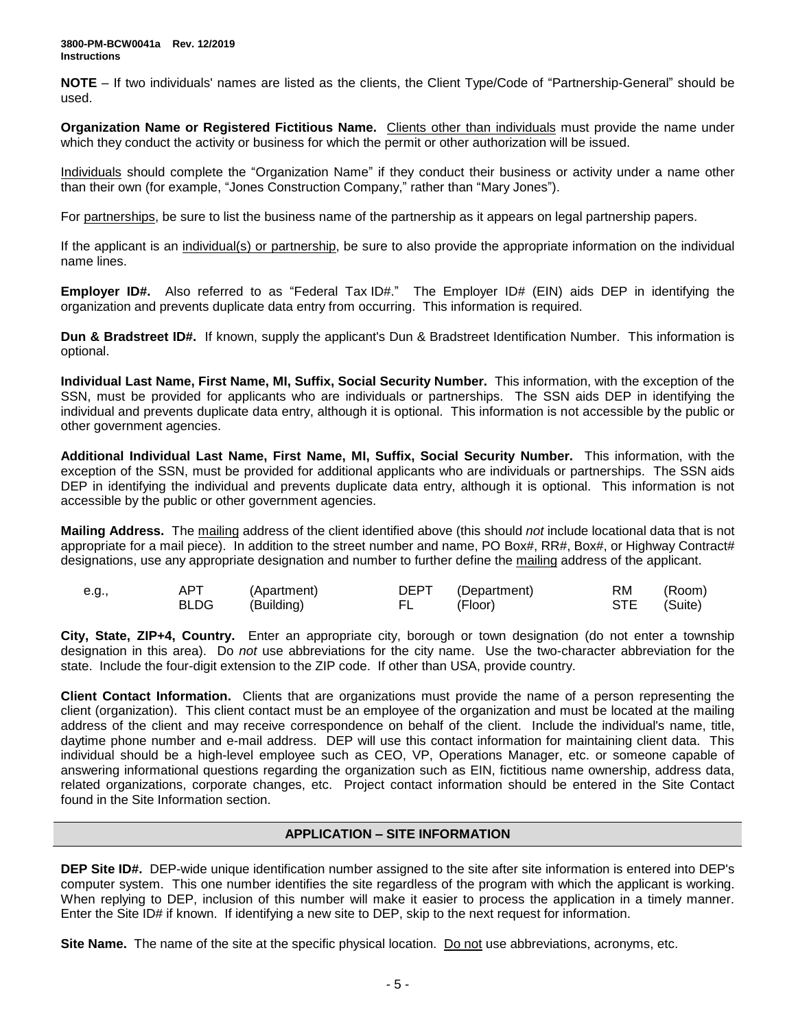**NOTE** – If two individuals' names are listed as the clients, the Client Type/Code of "Partnership-General" should be used.

**Organization Name or Registered Fictitious Name.** Clients other than individuals must provide the name under which they conduct the activity or business for which the permit or other authorization will be issued.

Individuals should complete the "Organization Name" if they conduct their business or activity under a name other than their own (for example, "Jones Construction Company," rather than "Mary Jones").

For partnerships, be sure to list the business name of the partnership as it appears on legal partnership papers.

If the applicant is an individual(s) or partnership, be sure to also provide the appropriate information on the individual name lines.

**Employer ID#.** Also referred to as "Federal Tax ID#." The Employer ID# (EIN) aids DEP in identifying the organization and prevents duplicate data entry from occurring. This information is required.

**Dun & Bradstreet ID#.** If known, supply the applicant's Dun & Bradstreet Identification Number. This information is optional.

**Individual Last Name, First Name, MI, Suffix, Social Security Number.** This information, with the exception of the SSN, must be provided for applicants who are individuals or partnerships. The SSN aids DEP in identifying the individual and prevents duplicate data entry, although it is optional. This information is not accessible by the public or other government agencies.

**Additional Individual Last Name, First Name, MI, Suffix, Social Security Number.** This information, with the exception of the SSN, must be provided for additional applicants who are individuals or partnerships. The SSN aids DEP in identifying the individual and prevents duplicate data entry, although it is optional. This information is not accessible by the public or other government agencies.

**Mailing Address.** The mailing address of the client identified above (this should *not* include locational data that is not appropriate for a mail piece). In addition to the street number and name, PO Box#, RR#, Box#, or Highway Contract# designations, use any appropriate designation and number to further define the mailing address of the applicant.

| e.g., | <b>APT</b> | (Apartment) |        | DEPT (Department) | RM          | (Room) |
|-------|------------|-------------|--------|-------------------|-------------|--------|
|       | BLDG       | (Building)  | FL and | (Floor)           | STE (Suite) |        |

**City, State, ZIP+4, Country.** Enter an appropriate city, borough or town designation (do not enter a township designation in this area). Do *not* use abbreviations for the city name. Use the two-character abbreviation for the state. Include the four-digit extension to the ZIP code. If other than USA, provide country.

**Client Contact Information.** Clients that are organizations must provide the name of a person representing the client (organization). This client contact must be an employee of the organization and must be located at the mailing address of the client and may receive correspondence on behalf of the client. Include the individual's name, title, daytime phone number and e-mail address. DEP will use this contact information for maintaining client data. This individual should be a high-level employee such as CEO, VP, Operations Manager, etc. or someone capable of answering informational questions regarding the organization such as EIN, fictitious name ownership, address data, related organizations, corporate changes, etc. Project contact information should be entered in the Site Contact found in the Site Information section.

## **APPLICATION – SITE INFORMATION**

**DEP Site ID#.** DEP-wide unique identification number assigned to the site after site information is entered into DEP's computer system. This one number identifies the site regardless of the program with which the applicant is working. When replying to DEP, inclusion of this number will make it easier to process the application in a timely manner. Enter the Site ID# if known. If identifying a new site to DEP, skip to the next request for information.

**Site Name.** The name of the site at the specific physical location. Do not use abbreviations, acronyms, etc.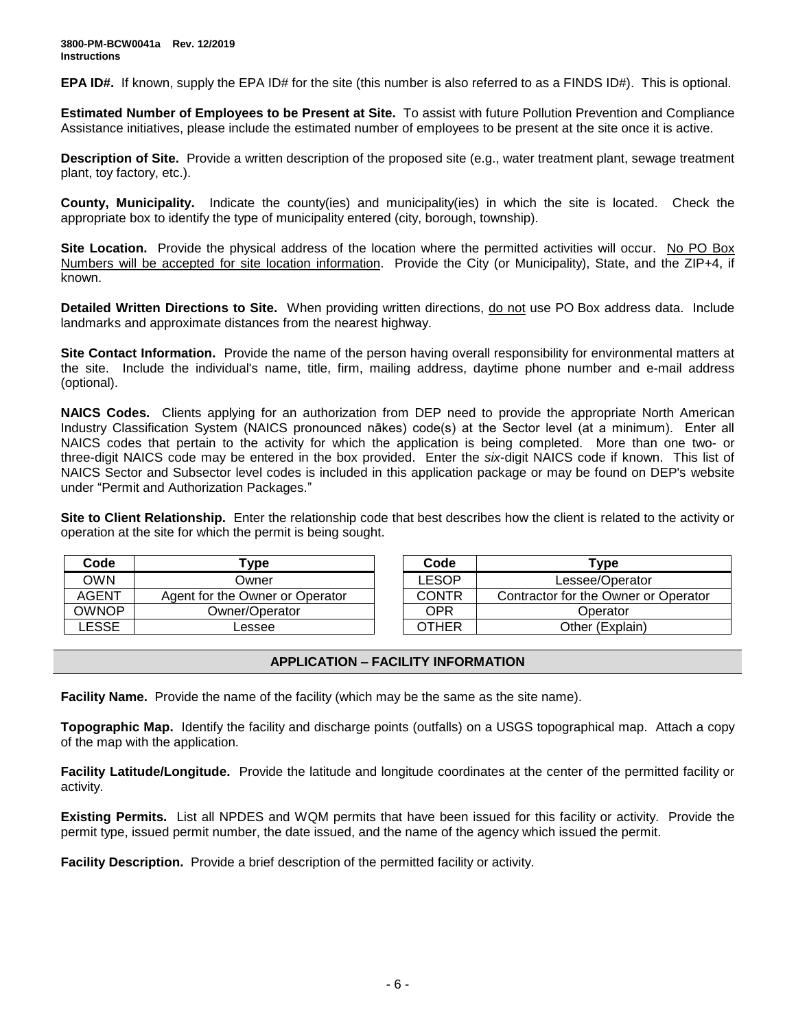**EPA ID#.** If known, supply the EPA ID# for the site (this number is also referred to as a FINDS ID#). This is optional.

**Estimated Number of Employees to be Present at Site.** To assist with future Pollution Prevention and Compliance Assistance initiatives, please include the estimated number of employees to be present at the site once it is active.

**Description of Site.** Provide a written description of the proposed site (e.g., water treatment plant, sewage treatment plant, toy factory, etc.).

**County, Municipality.** Indicate the county(ies) and municipality(ies) in which the site is located. Check the appropriate box to identify the type of municipality entered (city, borough, township).

**Site Location.** Provide the physical address of the location where the permitted activities will occur. No PO Box Numbers will be accepted for site location information. Provide the City (or Municipality), State, and the ZIP+4, if known.

Detailed Written Directions to Site. When providing written directions, do not use PO Box address data. Include landmarks and approximate distances from the nearest highway.

**Site Contact Information.** Provide the name of the person having overall responsibility for environmental matters at the site. Include the individual's name, title, firm, mailing address, daytime phone number and e-mail address (optional).

**NAICS Codes.** Clients applying for an authorization from DEP need to provide the appropriate North American Industry Classification System (NAICS pronounced nākes) code(s) at the Sector level (at a minimum). Enter all NAICS codes that pertain to the activity for which the application is being completed. More than one two- or three-digit NAICS code may be entered in the box provided. Enter the *six*-digit NAICS code if known. This list of NAICS Sector and Subsector level codes is included in this application package or may be found on DEP's website under "Permit and Authorization Packages."

**Site to Client Relationship.** Enter the relationship code that best describes how the client is related to the activity or operation at the site for which the permit is being sought.

| Code         | Type                            | Code         | Type                        |
|--------------|---------------------------------|--------------|-----------------------------|
| OWN          | Owner                           | LESOP        | Lessee/Operator             |
| <b>AGENT</b> | Agent for the Owner or Operator | <b>CONTR</b> | Contractor for the Owner of |
| OWNOP        | Owner/Operator                  | OPR          | Operator                    |
| _ESSE        | Lessee                          | OTHER        | Other (Explain)             |

| Code         | 'ype                            | Code         | Type                                 |
|--------------|---------------------------------|--------------|--------------------------------------|
| <b>OWN</b>   | Owner                           | LESOP        | Lessee/Operator                      |
| AGENT        | Agent for the Owner or Operator | <b>CONTR</b> | Contractor for the Owner or Operator |
| <b>OWNOP</b> | Owner/Operator                  | OPR          | Operator                             |
| <b>LESSE</b> | Lessee                          | OTHER        | Other (Explain)                      |

#### **APPLICATION – FACILITY INFORMATION**

**Facility Name.** Provide the name of the facility (which may be the same as the site name).

**Topographic Map.** Identify the facility and discharge points (outfalls) on a USGS topographical map. Attach a copy of the map with the application.

**Facility Latitude/Longitude.** Provide the latitude and longitude coordinates at the center of the permitted facility or activity.

**Existing Permits.** List all NPDES and WQM permits that have been issued for this facility or activity. Provide the permit type, issued permit number, the date issued, and the name of the agency which issued the permit.

**Facility Description.** Provide a brief description of the permitted facility or activity.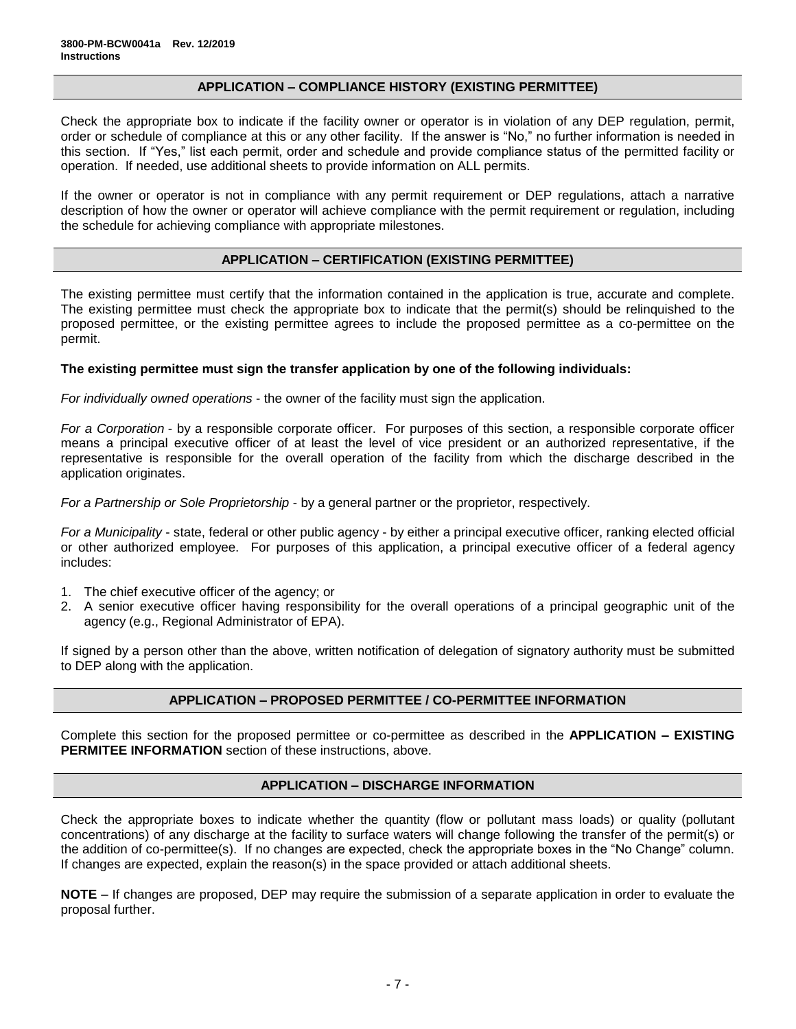#### **APPLICATION – COMPLIANCE HISTORY (EXISTING PERMITTEE)**

Check the appropriate box to indicate if the facility owner or operator is in violation of any DEP regulation, permit, order or schedule of compliance at this or any other facility. If the answer is "No," no further information is needed in this section. If "Yes," list each permit, order and schedule and provide compliance status of the permitted facility or operation. If needed, use additional sheets to provide information on ALL permits.

If the owner or operator is not in compliance with any permit requirement or DEP regulations, attach a narrative description of how the owner or operator will achieve compliance with the permit requirement or regulation, including the schedule for achieving compliance with appropriate milestones.

#### **APPLICATION – CERTIFICATION (EXISTING PERMITTEE)**

The existing permittee must certify that the information contained in the application is true, accurate and complete. The existing permittee must check the appropriate box to indicate that the permit(s) should be relinquished to the proposed permittee, or the existing permittee agrees to include the proposed permittee as a co-permittee on the permit.

#### **The existing permittee must sign the transfer application by one of the following individuals:**

*For individually owned operations* - the owner of the facility must sign the application.

*For a Corporation* - by a responsible corporate officer. For purposes of this section, a responsible corporate officer means a principal executive officer of at least the level of vice president or an authorized representative, if the representative is responsible for the overall operation of the facility from which the discharge described in the application originates.

*For a Partnership or Sole Proprietorship* - by a general partner or the proprietor, respectively.

*For a Municipality* - state, federal or other public agency - by either a principal executive officer, ranking elected official or other authorized employee. For purposes of this application, a principal executive officer of a federal agency includes:

- 1. The chief executive officer of the agency; or
- 2. A senior executive officer having responsibility for the overall operations of a principal geographic unit of the agency (e.g., Regional Administrator of EPA).

If signed by a person other than the above, written notification of delegation of signatory authority must be submitted to DEP along with the application.

#### **APPLICATION – PROPOSED PERMITTEE / CO-PERMITTEE INFORMATION**

Complete this section for the proposed permittee or co-permittee as described in the **APPLICATION – EXISTING PERMITEE INFORMATION** section of these instructions, above.

#### **APPLICATION – DISCHARGE INFORMATION**

Check the appropriate boxes to indicate whether the quantity (flow or pollutant mass loads) or quality (pollutant concentrations) of any discharge at the facility to surface waters will change following the transfer of the permit(s) or the addition of co-permittee(s). If no changes are expected, check the appropriate boxes in the "No Change" column. If changes are expected, explain the reason(s) in the space provided or attach additional sheets.

**NOTE** – If changes are proposed, DEP may require the submission of a separate application in order to evaluate the proposal further.